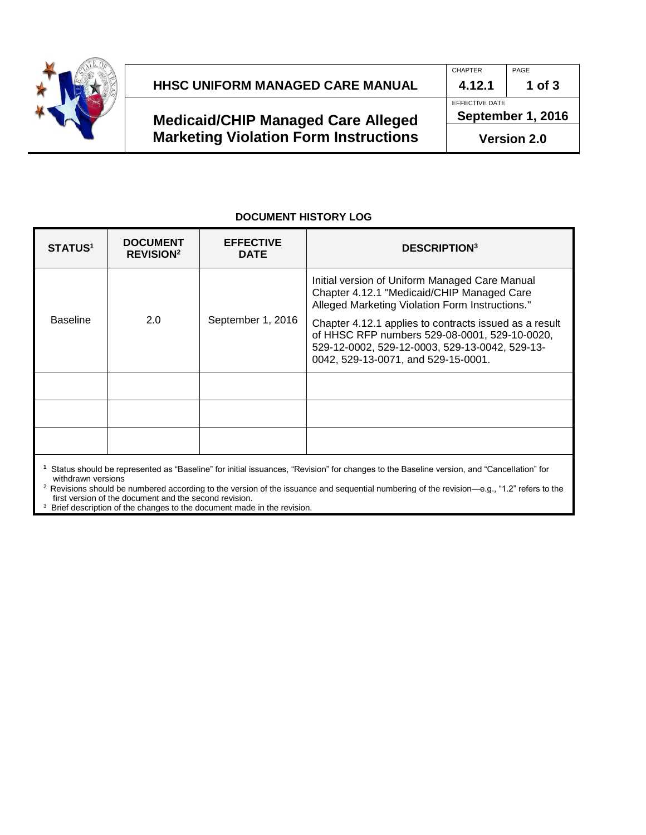

# **HHSC UNIFORM MANAGED CARE MANUAL 4.12.1 1 of 3**

## **Medicaid/CHIP Managed Care Alleged Marketing Violation Form Instructions**

#### **DOCUMENT HISTORY LOG**

| <b>STATUS<sup>1</sup></b>                                                                                                                | <b>DOCUMENT</b><br><b>REVISION<sup>2</sup></b> | <b>EFFECTIVE</b><br><b>DATE</b> | <b>DESCRIPTION</b> <sup>3</sup>                                                                                                                                                                  |  |  |  |
|------------------------------------------------------------------------------------------------------------------------------------------|------------------------------------------------|---------------------------------|--------------------------------------------------------------------------------------------------------------------------------------------------------------------------------------------------|--|--|--|
| <b>Baseline</b>                                                                                                                          | 2.0                                            | September 1, 2016               | Initial version of Uniform Managed Care Manual<br>Chapter 4.12.1 "Medicaid/CHIP Managed Care<br>Alleged Marketing Violation Form Instructions."                                                  |  |  |  |
|                                                                                                                                          |                                                |                                 | Chapter 4.12.1 applies to contracts issued as a result<br>of HHSC RFP numbers 529-08-0001, 529-10-0020,<br>529-12-0002, 529-12-0003, 529-13-0042, 529-13-<br>0042, 529-13-0071, and 529-15-0001. |  |  |  |
|                                                                                                                                          |                                                |                                 |                                                                                                                                                                                                  |  |  |  |
|                                                                                                                                          |                                                |                                 |                                                                                                                                                                                                  |  |  |  |
|                                                                                                                                          |                                                |                                 |                                                                                                                                                                                                  |  |  |  |
| Status should be represented as "Baseline" for initial issuances, "Revision" for changes to the Baseline version, and "Cancellation" for |                                                |                                 |                                                                                                                                                                                                  |  |  |  |

withdrawn versions <sup>2</sup> Revisions should be numbered according to the version of the issuance and sequential numbering of the revision—e.g., "1.2" refers to the first version of the document and the second revision.

<sup>3</sup> Brief description of the changes to the document made in the revision.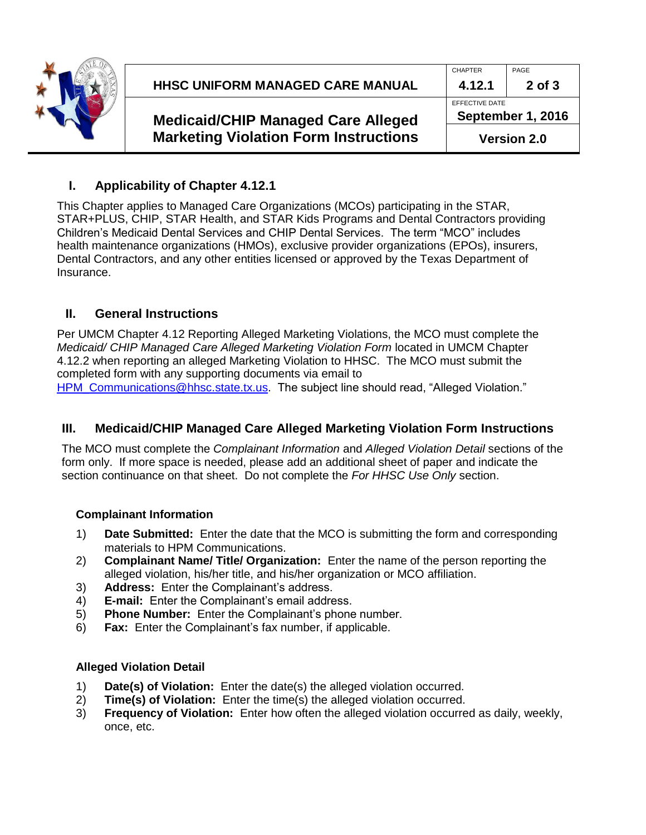

|                                              | <b>CHAPTER</b>                      | PAGE   |
|----------------------------------------------|-------------------------------------|--------|
| HHSC UNIFORM MANAGED CARE MANUAL             | 4.12.1                              | 2 of 3 |
|                                              | EFFECTIVE DATE<br>September 1, 2016 |        |
| <b>Medicaid/CHIP Managed Care Alleged</b>    |                                     |        |
| <b>Marketing Violation Form Instructions</b> | <b>Version 2.0</b>                  |        |

### **I. Applicability of Chapter 4.12.1**

This Chapter applies to Managed Care Organizations (MCOs) participating in the STAR, STAR+PLUS, CHIP, STAR Health, and STAR Kids Programs and Dental Contractors providing Children's Medicaid Dental Services and CHIP Dental Services. The term "MCO" includes health maintenance organizations (HMOs), exclusive provider organizations (EPOs), insurers, Dental Contractors, and any other entities licensed or approved by the Texas Department of Insurance.

### **II. General Instructions**

Per UMCM Chapter 4.12 Reporting Alleged Marketing Violations, the MCO must complete the *Medicaid/ CHIP Managed Care Alleged Marketing Violation Form* located in UMCM Chapter 4.12.2 when reporting an alleged Marketing Violation to HHSC. The MCO must submit the completed form with any supporting documents via email to [HPM\\_Communications@hhsc.state.tx.us.](mailto:HPM_Communications@hhsc.state.tx.us) The subject line should read, "Alleged Violation."

### **III. Medicaid/CHIP Managed Care Alleged Marketing Violation Form Instructions**

The MCO must complete the *Complainant Information* and *Alleged Violation Detail* sections of the form only. If more space is needed, please add an additional sheet of paper and indicate the section continuance on that sheet. Do not complete the *For HHSC Use Only* section.

#### **Complainant Information**

- 1) **Date Submitted:** Enter the date that the MCO is submitting the form and corresponding materials to HPM Communications.
- 2) **Complainant Name/ Title/ Organization:** Enter the name of the person reporting the alleged violation, his/her title, and his/her organization or MCO affiliation.
- 3) **Address:** Enter the Complainant's address.
- 4) **E-mail:** Enter the Complainant's email address.
- 5) **Phone Number:** Enter the Complainant's phone number.
- 6) **Fax:** Enter the Complainant's fax number, if applicable.

#### **Alleged Violation Detail**

- 1) **Date(s) of Violation:** Enter the date(s) the alleged violation occurred.
- 2) **Time(s) of Violation:** Enter the time(s) the alleged violation occurred.
- 3) **Frequency of Violation:** Enter how often the alleged violation occurred as daily, weekly, once, etc.